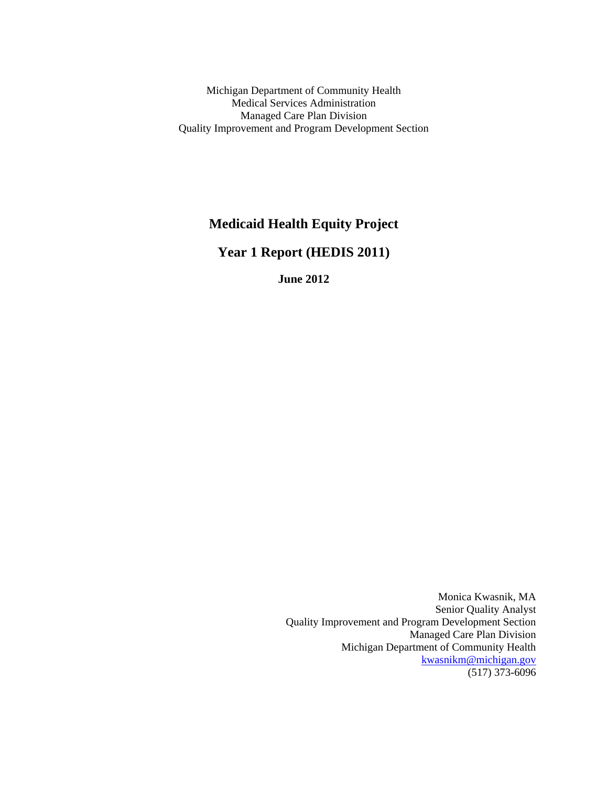Michigan Department of Community Health Medical Services Administration Managed Care Plan Division Quality Improvement and Program Development Section

# **Medicaid Health Equity Project**

**Year 1 Report (HEDIS 2011)**

**June 2012**

Monica Kwasnik, MA Senior Quality Analyst Quality Improvement and Program Development Section Managed Care Plan Division Michigan Department of Community Health [kwasnikm@michigan.gov](mailto:kwasnikm@michigan.gov) (517) 373-6096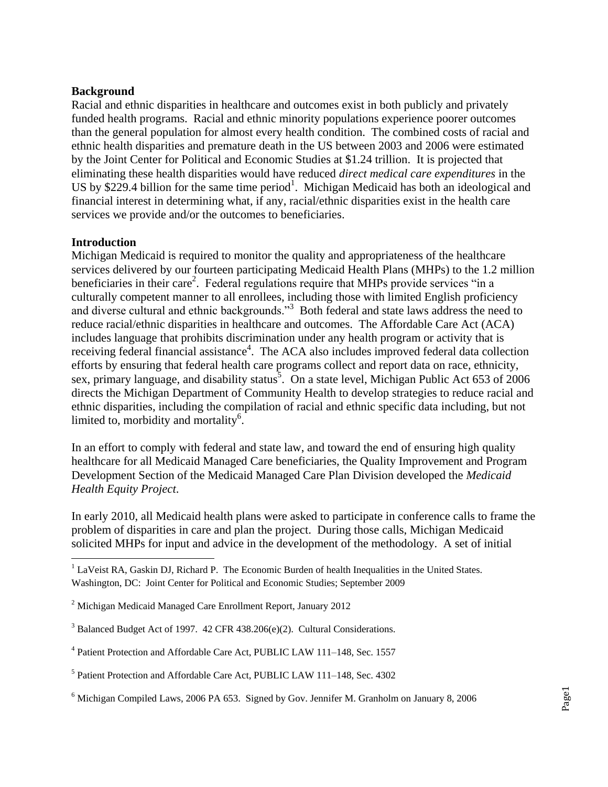### **Background**

Racial and ethnic disparities in healthcare and outcomes exist in both publicly and privately funded health programs. Racial and ethnic minority populations experience poorer outcomes than the general population for almost every health condition. The combined costs of racial and ethnic health disparities and premature death in the US between 2003 and 2006 were estimated by the Joint Center for Political and Economic Studies at \$1.24 trillion. It is projected that eliminating these health disparities would have reduced *direct medical care expenditures* in the US by \$229.4 billion for the same time period<sup>1</sup>. Michigan Medicaid has both an ideological and financial interest in determining what, if any, racial/ethnic disparities exist in the health care services we provide and/or the outcomes to beneficiaries.

#### **Introduction**

 $\overline{\phantom{a}}$ 

Michigan Medicaid is required to monitor the quality and appropriateness of the healthcare services delivered by our fourteen participating Medicaid Health Plans (MHPs) to the 1.2 million beneficiaries in their care<sup>2</sup>. Federal regulations require that MHPs provide services "in a culturally competent manner to all enrollees, including those with limited English proficiency and diverse cultural and ethnic backgrounds."<sup>3</sup> Both federal and state laws address the need to reduce racial/ethnic disparities in healthcare and outcomes. The Affordable Care Act (ACA) includes language that prohibits discrimination under any health program or activity that is receiving federal financial assistance<sup>4</sup>. The ACA also includes improved federal data collection efforts by ensuring that federal health care programs collect and report data on race, ethnicity, sex, primary language, and disability status<sup>3</sup>. On a state level, Michigan Public Act 653 of 2006 directs the Michigan Department of Community Health to develop strategies to reduce racial and ethnic disparities, including the compilation of racial and ethnic specific data including, but not limited to, morbidity and mortality<sup>6</sup>.

In an effort to comply with federal and state law, and toward the end of ensuring high quality healthcare for all Medicaid Managed Care beneficiaries, the Quality Improvement and Program Development Section of the Medicaid Managed Care Plan Division developed the *Medicaid Health Equity Project*.

In early 2010, all Medicaid health plans were asked to participate in conference calls to frame the problem of disparities in care and plan the project. During those calls, Michigan Medicaid solicited MHPs for input and advice in the development of the methodology. A set of initial

 $<sup>1</sup>$  LaVeist RA, Gaskin DJ, Richard P. The Economic Burden of health Inequalities in the United States.</sup> Washington, DC: Joint Center for Political and Economic Studies; September 2009

<sup>2</sup> Michigan Medicaid Managed Care Enrollment Report, January 2012

<sup>&</sup>lt;sup>3</sup> Balanced Budget Act of 1997. 42 CFR 438.206(e)(2). Cultural Considerations.

<sup>&</sup>lt;sup>4</sup> Patient Protection and Affordable Care Act, PUBLIC LAW 111-148, Sec. 1557

<sup>&</sup>lt;sup>5</sup> Patient Protection and Affordable Care Act, PUBLIC LAW 111-148, Sec. 4302

<sup>6</sup> Michigan Compiled Laws, 2006 PA 653. Signed by Gov. Jennifer M. Granholm on January 8, 2006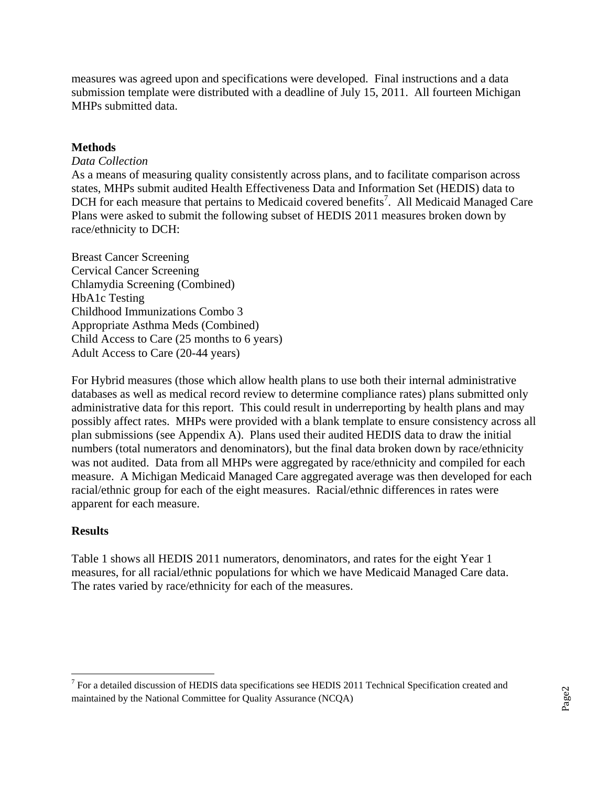measures was agreed upon and specifications were developed. Final instructions and a data submission template were distributed with a deadline of July 15, 2011. All fourteen Michigan MHPs submitted data.

## **Methods**

### *Data Collection*

As a means of measuring quality consistently across plans, and to facilitate comparison across states, MHPs submit audited Health Effectiveness Data and Information Set (HEDIS) data to DCH for each measure that pertains to Medicaid covered benefits<sup>7</sup>. All Medicaid Managed Care Plans were asked to submit the following subset of HEDIS 2011 measures broken down by race/ethnicity to DCH:

Breast Cancer Screening Cervical Cancer Screening Chlamydia Screening (Combined) HbA1c Testing Childhood Immunizations Combo 3 Appropriate Asthma Meds (Combined) Child Access to Care (25 months to 6 years) Adult Access to Care (20-44 years)

For Hybrid measures (those which allow health plans to use both their internal administrative databases as well as medical record review to determine compliance rates) plans submitted only administrative data for this report. This could result in underreporting by health plans and may possibly affect rates. MHPs were provided with a blank template to ensure consistency across all plan submissions (see Appendix A). Plans used their audited HEDIS data to draw the initial numbers (total numerators and denominators), but the final data broken down by race/ethnicity was not audited. Data from all MHPs were aggregated by race/ethnicity and compiled for each measure. A Michigan Medicaid Managed Care aggregated average was then developed for each racial/ethnic group for each of the eight measures. Racial/ethnic differences in rates were apparent for each measure.

## **Results**

Table 1 shows all HEDIS 2011 numerators, denominators, and rates for the eight Year 1 measures, for all racial/ethnic populations for which we have Medicaid Managed Care data. The rates varied by race/ethnicity for each of the measures.

<sup>&</sup>lt;sup>7</sup> For a detailed discussion of HEDIS data specifications see HEDIS 2011 Technical Specification created and <sup>7</sup> maintained by the National Committee for Quality Assurance (NCQA)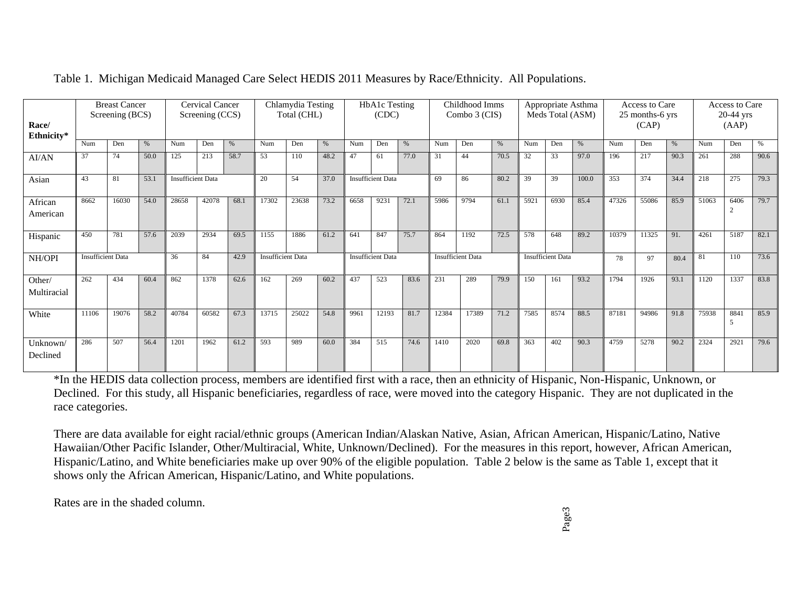| Race/<br>Ethnicity*   | <b>Breast Cancer</b><br>Screening (BCS) |       |      | Cervical Cancer<br>Screening (CCS) |       |      | Chlamydia Testing<br>Total (CHL) |       |      | HbA1c Testing<br>(CDC) |                          |      | Childhood Imms<br>Combo 3 (CIS) |                          |      | Appropriate Asthma<br>Meds Total (ASM) |                          |       | Access to Care<br>25 months-6 yrs<br>(CAP) |       |      | Access to Care<br>$20-44$ yrs<br>(AAP) |          |      |
|-----------------------|-----------------------------------------|-------|------|------------------------------------|-------|------|----------------------------------|-------|------|------------------------|--------------------------|------|---------------------------------|--------------------------|------|----------------------------------------|--------------------------|-------|--------------------------------------------|-------|------|----------------------------------------|----------|------|
|                       | Num                                     | Den   | %    | Num                                | Den   | %    | Num                              | Den   | $\%$ | Num                    | Den                      | %    | Num                             | Den                      | $\%$ | Num                                    | Den                      | $\%$  | Num                                        | Den   | %    | Num                                    | Den      | %    |
| AI/AN                 | 37                                      | 74    | 50.0 | 125                                | 213   | 58.7 | 53                               | 110   | 48.2 | 47                     | 61                       | 77.0 | 31                              | 44                       | 70.5 | 32                                     | 33                       | 97.0  | 196                                        | 217   | 90.3 | 261                                    | 288      | 90.6 |
| Asian                 | 43                                      | 81    | 53.1 | <b>Insufficient Data</b>           |       |      | 20                               | 54    | 37.0 |                        | <b>Insufficient Data</b> |      | 69                              | 86                       | 80.2 | 39                                     | 39                       | 100.0 | 353                                        | 374   | 34.4 | 218                                    | 275      | 79.3 |
| African<br>American   | 8662                                    | 16030 | 54.0 | 28658                              | 42078 | 68.1 | 17302                            | 23638 | 73.2 | 6658                   | 9231                     | 72.1 | 5986                            | 9794                     | 61.1 | 5921                                   | 6930                     | 85.4  | 47326                                      | 55086 | 85.9 | 51063                                  | 6406     | 79.7 |
| Hispanic              | 450                                     | 781   | 57.6 | 2039                               | 2934  | 69.5 | 1155                             | 1886  | 61.2 | 641                    | 847                      | 75.7 | 864                             | 1192                     | 72.5 | 578                                    | 648                      | 89.2  | 10379                                      | 11325 | 91.  | 4261                                   | 5187     | 82.1 |
| NH/OPI                | <b>Insufficient Data</b>                |       |      | 36                                 | 84    | 42.9 | <b>Insufficient Data</b>         |       |      |                        | <b>Insufficient Data</b> |      |                                 | <b>Insufficient Data</b> |      |                                        | <b>Insufficient Data</b> |       | 78                                         | 97    | 80.4 | 81                                     | 110      | 73.6 |
| Other/<br>Multiracial | 262                                     | 434   | 60.4 | 862                                | 1378  | 62.6 | 162                              | 269   | 60.2 | 437                    | 523                      | 83.6 | 231                             | 289                      | 79.9 | 150                                    | 161                      | 93.2  | 1794                                       | 1926  | 93.1 | 1120                                   | 1337     | 83.8 |
| White                 | 11106                                   | 19076 | 58.2 | 40784                              | 60582 | 67.3 | 13715                            | 25022 | 54.8 | 9961                   | 12193                    | 81.7 | 12384                           | 17389                    | 71.2 | 7585                                   | 8574                     | 88.5  | 87181                                      | 94986 | 91.8 | 75938                                  | 884<br>5 | 85.9 |
| Unknown/<br>Declined  | 286                                     | 507   | 56.4 | 1201                               | 1962  | 61.2 | 593                              | 989   | 60.0 | 384                    | 515                      | 74.6 | 1410                            | 2020                     | 69.8 | 363                                    | 402                      | 90.3  | 4759                                       | 5278  | 90.2 | 2324                                   | 2921     | 79.6 |

## Table 1. Michigan Medicaid Managed Care Select HEDIS 2011 Measures by Race/Ethnicity. All Populations.

\*In the HEDIS data collection process, members are identified first with a race, then an ethnicity of Hispanic, Non-Hispanic, Unknown, or Declined. For this study, all Hispanic beneficiaries, regardless of race, were moved into the category Hispanic. They are not duplicated in the race categories.

There are data available for eight racial/ethnic groups (American Indian/Alaskan Native, Asian, African American, Hispanic/Latino, Native Hawaiian/Other Pacific Islander, Other/Multiracial, White, Unknown/Declined). For the measures in this report, however, African American, Hispanic/Latino, and White beneficiaries make up over 90% of the eligible population. Table 2 below is the same as Table 1, except that it shows only the African American, Hispanic/Latino, and White populations.

Rates are in the shaded column.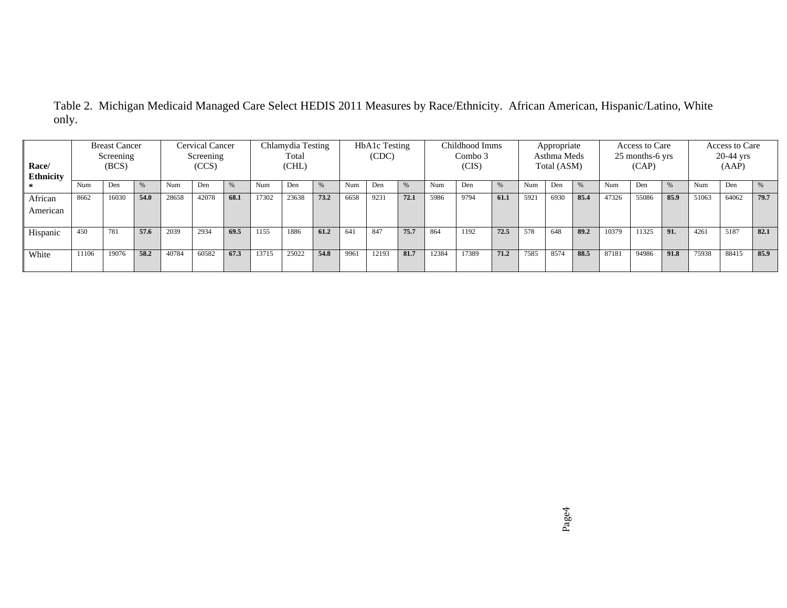| <b>Breast Cancer</b><br>Screening<br>(BCS)<br>Race/<br><b>Ethnicity</b> |       | Cervical Cancer<br>Screening<br>(CCS) |      |       | Chlamydia Testing<br>Total<br>(CHL) |      |       | HbA1c Testing<br>(CDC) |      |      | Childhood Imms<br>Combo 3<br>(CIS) |      |       | Appropriate<br>Asthma Meds<br>Total (ASM) |      |      | Access to Care<br>25 months-6 yrs<br>(CAP) |               |       | Access to Care<br>$20-44$ yrs<br>(AAP) |      |       |       |      |
|-------------------------------------------------------------------------|-------|---------------------------------------|------|-------|-------------------------------------|------|-------|------------------------|------|------|------------------------------------|------|-------|-------------------------------------------|------|------|--------------------------------------------|---------------|-------|----------------------------------------|------|-------|-------|------|
|                                                                         | Num   | Den                                   | $\%$ | Num   | Den                                 |      | Num   | Den                    |      | Num  | Den                                | %    | Num   | Den                                       |      | Num  | Den                                        | $\frac{0}{6}$ | Num   | Den                                    | %    | Num   | Den   | %    |
| African<br>American                                                     | 8662  | 16030                                 | 54.0 | 28658 | 42078                               | 68.1 | 17302 | 23638                  | 73.2 | 6658 | 9231                               | 72.1 | 5986  | 9794                                      | 61.1 | 592  | 6930                                       | 85.4          | 47326 | 55086                                  | 85.9 | 51063 | 64062 | 79.7 |
| Hispanic                                                                | 450   | 781                                   | 57.6 | 2039  | 2934                                | 69.5 | 1155  | 1886                   | 61.2 | 641  | 847                                | 75.7 | 864   | 1192                                      | 72.5 | 578  | 648                                        | 89.2          | 10379 | 11325                                  | 91.  | 4261  | 5187  | 82.1 |
| White                                                                   | 11106 | 19076                                 | 58.2 | 40784 | 60582                               | 67.3 | 13715 | 25022                  | 54.8 | 9961 | 12193                              | 81.7 | 12384 | 17389                                     | 71.2 | 7585 | 8574                                       | 88.5          | 87181 | 94986                                  | 91.8 | 75938 | 88415 | 85.9 |

Table 2. Michigan Medicaid Managed Care Select HEDIS 2011 Measures by Race/Ethnicity. African American, Hispanic/Latino, White only.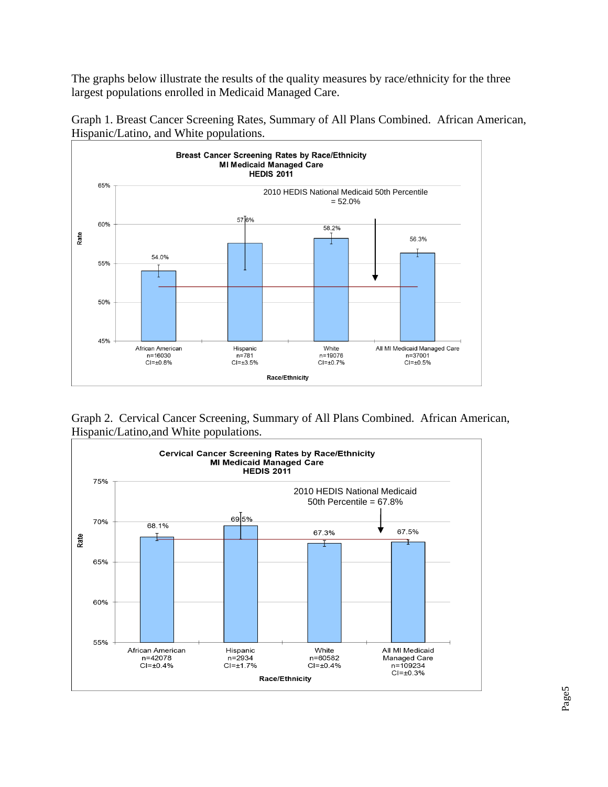The graphs below illustrate the results of the quality measures by race/ethnicity for the three largest populations enrolled in Medicaid Managed Care.



Graph 1. Breast Cancer Screening Rates, Summary of All Plans Combined. African American, Hispanic/Latino, and White populations.

Graph 2. Cervical Cancer Screening, Summary of All Plans Combined. African American, Hispanic/Latino,and White populations.



Page5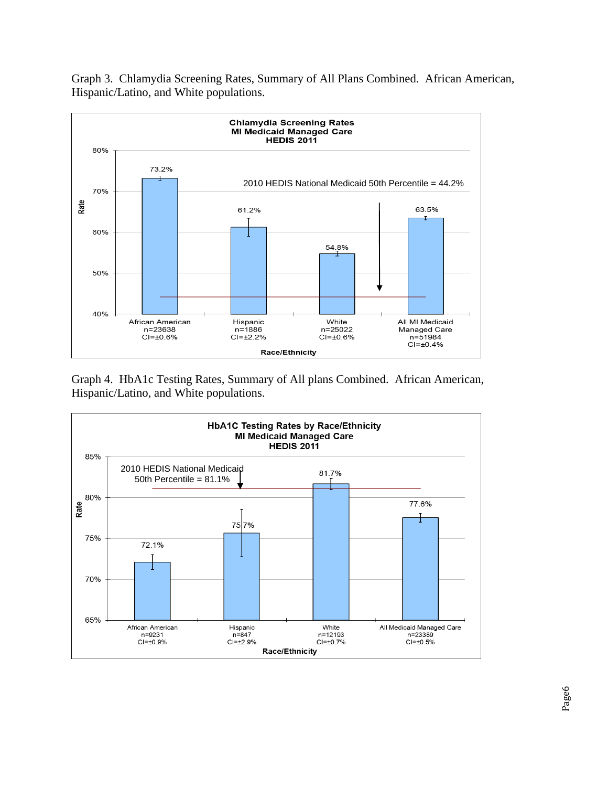Graph 3. Chlamydia Screening Rates, Summary of All Plans Combined. African American, Hispanic/Latino, and White populations.



Graph 4. HbA1c Testing Rates, Summary of All plans Combined. African American, Hispanic/Latino, and White populations.

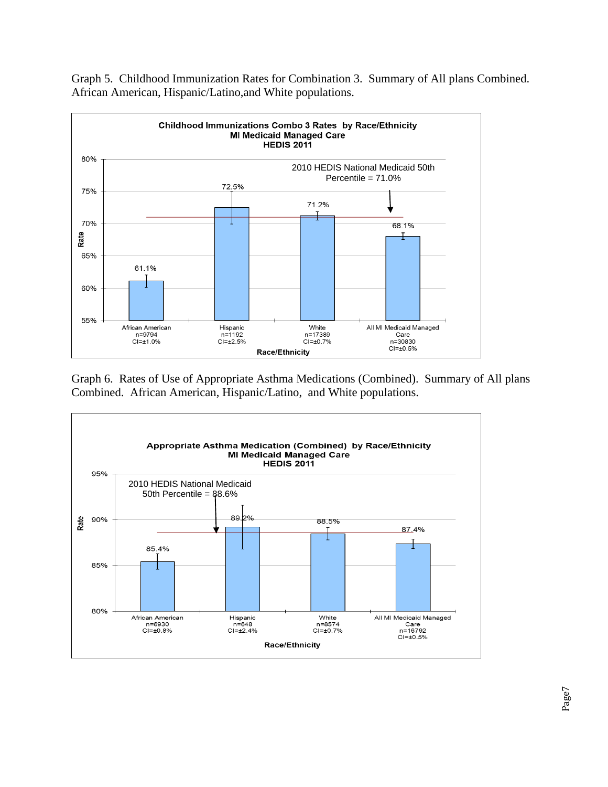

Graph 5. Childhood Immunization Rates for Combination 3. Summary of All plans Combined. African American, Hispanic/Latino,and White populations.

Graph 6. Rates of Use of Appropriate Asthma Medications (Combined). Summary of All plans Combined. African American, Hispanic/Latino, and White populations.

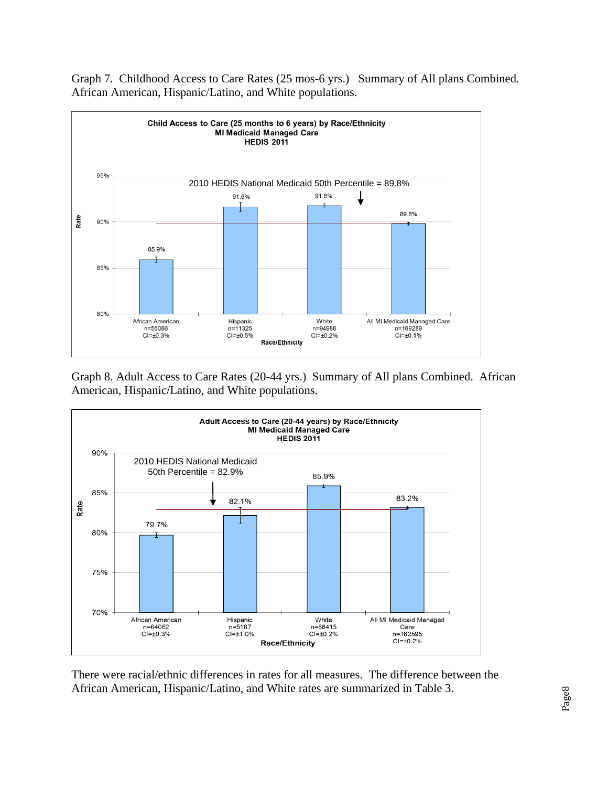

Graph 7. Childhood Access to Care Rates (25 mos-6 yrs.) Summary of All plans Combined. African American, Hispanic/Latino, and White populations.

Graph 8. Adult Access to Care Rates (20-44 yrs.) Summary of All plans Combined. African American, Hispanic/Latino, and White populations.



There were racial/ethnic differences in rates for all measures. The difference between the African American, Hispanic/Latino, and White rates are summarized in Table 3.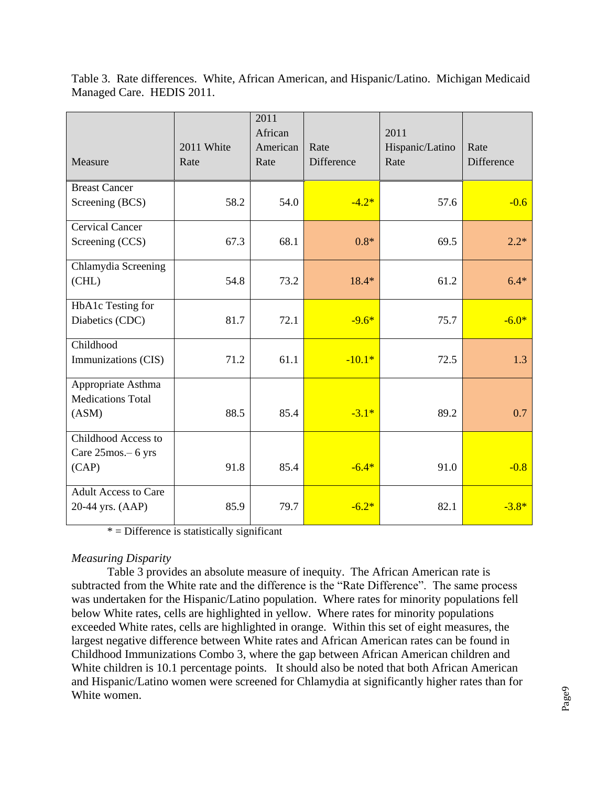| Measure                                                 | 2011 White<br>Rate | 2011<br>African<br>American<br>Rate | Rate<br>Difference | 2011<br>Hispanic/Latino<br>Rate | Rate<br>Difference |
|---------------------------------------------------------|--------------------|-------------------------------------|--------------------|---------------------------------|--------------------|
| <b>Breast Cancer</b><br>Screening (BCS)                 | 58.2               | 54.0                                | $-4.2*$            | 57.6                            | $-0.6$             |
| <b>Cervical Cancer</b><br>Screening (CCS)               | 67.3               | 68.1                                | $0.8*$             | 69.5                            | $2.2*$             |
| Chlamydia Screening<br>(CHL)                            | 54.8               | 73.2                                | $18.4*$            | 61.2                            | $6.4*$             |
| HbA1c Testing for<br>Diabetics (CDC)                    | 81.7               | 72.1                                | $-9.6*$            | 75.7                            | $-6.0*$            |
| Childhood<br>Immunizations (CIS)                        | 71.2               | 61.1                                | $-10.1*$           | 72.5                            | 1.3                |
| Appropriate Asthma<br><b>Medications Total</b><br>(ASM) | 88.5               | 85.4                                | $-3.1*$            | 89.2                            | 0.7                |
| Childhood Access to<br>Care 25mos. - 6 yrs<br>(CAP)     | 91.8               | 85.4                                | $-6.4*$            | 91.0                            | $-0.8$             |
| <b>Adult Access to Care</b><br>20-44 yrs. (AAP)         | 85.9               | 79.7                                | $-6.2*$            | 82.1                            | $-3.8*$            |

Table 3. Rate differences. White, African American, and Hispanic/Latino. Michigan Medicaid Managed Care. HEDIS 2011.

 $*$  = Difference is statistically significant

#### *Measuring Disparity*

Table 3 provides an absolute measure of inequity. The African American rate is subtracted from the White rate and the difference is the "Rate Difference". The same process was undertaken for the Hispanic/Latino population. Where rates for minority populations fell below White rates, cells are highlighted in yellow. Where rates for minority populations exceeded White rates, cells are highlighted in orange. Within this set of eight measures, the largest negative difference between White rates and African American rates can be found in Childhood Immunizations Combo 3, where the gap between African American children and White children is 10.1 percentage points. It should also be noted that both African American and Hispanic/Latino women were screened for Chlamydia at significantly higher rates than for White women.